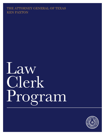# THE ATTORNEY GENERAL OF TEXAS KEN PAXTON

Law Clerk Program

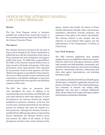# OFFICE OF THE ATTORNEY GENERAL LAW CLERK PROGRAM

# **Mission**

The Law Clerk Program strives to introduce qualified law students from around the country to the rewarding and diverse legal work of the Office of the Attorney General of Texas.

# **The Agency**

The Attorney General is the lawyer for the state of Texas and is charged by the Texas Constitution to defend the laws and the Constitution of the state of Texas; represent the state in litigation; and approve public bond issues. To fulfill these responsibilities, the Office of the Attorney General (OAG) serves as legal counsel to all boards and agencies of the state government; issues legal opinions when requested by the governor, heads of state agencies, and other officials and agencies as provided by Texas statutes; sits as an ex-officio member of state committees and commissions; and defends challenges to state laws and suits against both state agencies and individual employees of the state.

The OAG has taken on numerous other roles throughout the years. In addition to its constitutionally prescribed duties, the OAG files civil suits upon referral by other state agencies. In some circumstances, the Attorney General has original jurisdiction to prosecute violations of the law, but in most cases, criminal prosecutions by the attorney general are initiated only upon the request of a local prosecutor. Although the Attorney General is prohibited from offering legal advice or representing private individuals, the Attorney General serves and protects the rights of all citizens of Texas through the activities of the various divisions of the agency. Actions that benefit all citizens of Texas include enforcement of health, safety, and consumer regulations; educational outreach programs; and protection of the rights of the elderly and disabled. The Attorney General is also charged with the collection of court-ordered child support and the administration of the Compensation to Victims of Crime Fund.

# **Law Clerk Program**

The OAG welcomes applications from qualified students from any accredited law school in the country. OAG law clerks work with agency attorneys; conduct legal research; and draft pleadings, memoranda, and/ or briefs. OAG law clerks may also assist in developing discovery, interviewing witnesses, conferencing with other state agency representatives, and attending hearings or trials.

Law students selected for the OAG Law Clerk Program should expect a competitive application and interview process, including a review of law school performance, and evaluation of research and writing skills. Applicants must also pass a criminal background check. All law clerks must comply with agency policies and procedures during their clerkships.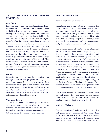# **THE OAG OFFERS SEVERAL TYPES OF POSITIONS**

#### **Law Clerk**

First-year and second-year law students are eligible to apply for fall, spring, and summer unpaid clerkships. Second-year law students may apply during fall on-campus interviews at Texas law schools or via the online application available on the OAG website. First-year law students are eligible to apply after they have completed one semester of law school. Summer law clerks can complete six to 12-week terms between May and September. Fall and spring clerkships with the OAG tend to follow law school semesters. Depending on law school requirements, law clerks may receive credit or extern requirement fulfillment for their clerkships, which may be in Austin or any of the regional offices of the agency. Accepted second-year law students receive offers after the fall semester interviews, and accepted first-year law students receive offers during the spring semester.

# **Intern**

Students enrolled in paralegal studies and undergraduate pre-law programs are eligible for unpaid internships. Interns receive course credit or exposure to working in a legal environment. Most internships are available during the fall and spring semesters, but summer internships may also be available. Internships are available in Austin or any of the regional offices of the agency.

#### **Volunteer Lawyer**

The OAG welcomes law school graduates to the agency as volunteer lawyers who are completing sponsored fellowships. These positions are located in Austin or any of the regional offices of the agency but only during the fall and spring semesters.

# **THE OAG DIVISIONS**

#### **Administrative Law Division**

The Administrative Law Division represents the state of Texas and its agencies in matters pertaining to administrative law in state and federal courts and in administrative proceedings. The division prosecutes and defends cases involving a wide variety of matters, including occupational licensing, child care, health care, education, workers' compensation, and public employee retirement matters.

The division's legal work can be broadly categorized into four areas: enforcement litigation, agency defense litigation, legal counsel, and other legal proceedings. The division provides general counsel support to state agencies, many of which do not have in-house counsel. Attorneys routinely provide advice to these agencies and their governing boards on a broad range of topics, including the Administrative Procedure Act, the Open Meetings Act, the Public Information Act, rulemaking, contracting, employment, pre-litigation, and statutory construction and interpretation. The division also includes a section devoted solely to litigation support for the Open Records Division of the Office of the Attorney General and a section that represents state agencies as consumers in utility rate proceedings.

The division presents conferences on government law and liability for board members and agency administrators. The division also assists in publishing the Administrative Law Handbook.

# **Antitrust Division**

The Attorney General is charged with investigating and prosecuting violations of the Texas Free Enterprise and Antitrust Act and of the federal antitrust statutes, which prohibit anticompetitive conduct. If antitrust violations are detected, the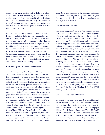Antitrust Division can file suit in federal or state court. The Antitrust Division represents the state as well as state agencies and other political subdivisions in these legal actions, and although the Attorney General cannot represent individual consumers directly, many settlements provide restitution for individual consumers.

Conduct that may be investigated by the Antitrust Division includes behavior by monopolist and antitrust conspiracies, such as price fixing, bidrigging and territorial or customer allocation to reduce competitiveness in a free and open market. In addition, the division conducts merger reviews to determine if a proposed combination will substantially lessen competition. Investigations can be local, regional, or national in scope and are often joint investigations with either the Federal Trade Commission, the U.S. Department of Justice, and/or one or more other state attorneys general.

#### **Bankruptcy and Collections Division**

The Bankruptcy and Collections Division is the centralized collection unit for the state, charged with the responsibility to recover all debts, judgments, taxes, fees, fines, penalties, loans, and other obligations. The Collection Section uses investigators to locate and identify parties responsible for the debt, and its attorneys pursue collection in state court. The Bankruptcy Section represents state agencies in federal court around the country to protect the state's monetary and regulatory concerns in bankruptcy cases. The major state client agencies it represents include: the Comptroller of Public Accounts, the Texas Workforce Commission, the Texas Higher Education Coordinating Board, the Texas Commission on Environmental Quality, the General Land Office, the Texas Railroad Commission, the Texas Parks & Wildlife Department, the Texas Health and Human Services Commission, the Texas Department of Licensing and Regulation, and the Texas Ethics Commission. The Student Loan Section is responsible for pursuing collection of student loans originated by the Texas Higher Education Coordinating Board when the borrower or co-signor is in default.

# **Child Support Division**

The Child Support Division is the largest division within the OAG and has over 70 field and regional offices around the state to serve the public. In accordance with state and federal law, the OAG is responsible for the establishment and enforcement of child support. The OAG represents the state and cannot represent individuals involved in child support claims. The agency's Child Support Division has a responsibility to assist parents in obtaining the financial support necessary for children to grow up and succeed in life. To encourage parental responsibility, the Attorney General establishes paternity of children, establishes court orders for financial and medical support, and vigorously enforces support orders. The Attorney General promotes the emotional involvement of both parents in the life of the child by working with community groups, schools, and hospitals. Because of its size, the Child Support Division operates its own law clerk, intern, and volunteer attorney program. Interested law students may contact the Child Support Division at CSD Law Clerk Program, Office of the Attorney General, Child Support Division, P.O. Box 12017 Austin, TX 78711-2017.

### **Civil Medicaid Fraud Division**

On behalf of the state of Texas, the Civil Medicaid Fraud Division investigates allegations of unlawful acts against the Medicaid program in order to prosecute meritorious claims and recover taxpayer dollars. The division enforces the Texas Medicaid Fraud Prevention Act, which provides the state with civil remedies for specific unlawful acts, such as misrepresentations made to the Texas Medicaid program. Many of the allegations investigated by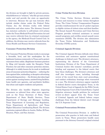the division are brought to light by private persons, whistleblowers or "relators," who file qui tam actions under seal and provide the state an opportunity to intervene. Because the qui tam lawsuits often include similar claims under the Federal False Claims Act, the division works with federal authorities and other states. The Attorney General has statutory authority to self-initiate civil actions under the Texas Medicaid Fraud Prevention Act and may receive referrals from its criminal counterpart in the agency, the Medicaid Fraud Control Unit. In addition, the division may receive referrals from the Texas Health and Human Services Commission.

#### **Consumer Protection Division**

The Consumer Protection Division works to encourage a favorable, level, and fair marketplace for the legitimate business community in Texas and to protect consumers from unfair, illegitimate business practices by filing civil lawsuits under the Deceptive Trade Practices Act and other consumer protection statutes. Although it is widely known for its work in traditional areas of consumer protection litigation — enforcing the laws against false, misleading, or deceptive advertising and marketing practices — the division also takes legal action against nursing homes, assisted living facilities, home health care agencies, and psychiatric facilities that abuse and neglect residents and patients.

The division also handles litigation impacting consumers as referred from other state agencies, such as the Texas Secretary of State, Texas Department of State Health Services, Texas Department of Savings and Mortgage Lending, Texas Department of Licensing and Regulation, Texas Department of Agriculture, and Texas Higher Education Coordinating Board. The division maintains regional offices in Austin, Dallas, El Paso, Houston, Pharr, and San Antonio.

#### **Crime Victim Services Division**

The Crime Victim Services Division provides services and resources to crime victims throughout Texas. The Crime Victims' Compensation Program provides reimbursement for out-of- pocket expenses to eligible victims of violent crime and their families. The Sexual Assault Prevention and Crisis Services Program provides technical assistance to sexual assault programs and certifies sexual assault nurse examiners (SANE). The division also administers the Texas Victim Information and Notification Everyday (VINE) system.

### **Criminal Appeals Division**

The Criminal Appeals Division defends state felony convictions and sentences against constitutional challenges in federal court. The division's attorneys, representing the director of the Correctional Institutions Division of the Texas Department of Criminal Justice (the inmates' custodian), provide briefing and argument to the federal courts that hear these challenges. The division's attorneys and staff also investigate cases, including thorough review of the record from state court proceedings, and conduct evidentiary hearings when warranted in a case. The division's attorneys appear regularly in federal district courts throughout Texas, in the United States Court of Appeals for the Fifth Circuit, and the Supreme Court of the United States. Capital litigation attorneys handle petitions for certiorari review on direct appeal from the Texas Court of Criminal Appeals and federal habeas corpus challenges from the federal district court through the U.S. Supreme Court.

#### **Criminal Prosecutions Division**

The Criminal Prosecutions Division is staffed by prosecutors who practice in both state and federal courts in Texas. These prosecutors handle cases pursuant to the Attorney General's original criminal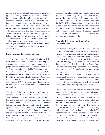jurisdiction, when original jurisdiction is provided by Texas law; pursuant to concurrent criminal jurisdiction with district and county attorneys, when concurrent criminal jurisdiction is provided by Texas law; and pursuant to requests for assistance from local prosecutors and offers of assistance to local prosecutors. The division also works cooperatively with U.S. attorneys in the four federal districts in Texas, and prosecutors in the division appear in federal court as special assistant U.S. attorneys. The division consists of four teams of lawyers and subject matter experts in the areas of violent crime and major offenders, human trafficking, white collar crime and public integrity, and juvenile crime intervention.

#### **Environmental Protection Division**

The Environmental Protection Division (EPD) represents the state in matters pertaining to environmental protection, natural resources, and public utilities. EPD's clients include the Commission on Environmental Quality, Public Utility Commission, General Land Office, Railroad Commission, Water Development Board, Department of Agriculture, Department of State Health Services, Parks and Wildlife Department, and state river compact commissions. EPD prosecutes and defends cases in state and federal courts and in administrative proceedings.

The work of the division is organized into five sections. The Enforcement Section prosecutes cases against those who violate laws protecting the health and safety of the people of Texas and the environment in which they live. The Defense Section represents the state and its environmental agencies when their decisions or actions are challenged in court or when federal regulators impose policy choices that are inconsistent with the state's interests in protecting the environment. The Natural Resources Section represents the state in a variety of matters relating to the state's natural

resources, including public land litigation involving title and boundary disputes, public beach access, coastal dune protection, and mineral valuation on state lands. The Utilities Section represents the Public Utility Commission in matters relating to regulation of electric and telecommunications utilities in Texas. The Colonias Section investigates and prosecutes enforcement litigation against developers of substandard subdivisions along and near the Texas-Mexico border.

# **Financial Litigation and Charitable Trusts Division**

The Financial Litigation and Charitable Trusts Division defends and prosecutes lawsuits involving regulatory and financial matters for state agencies. The division regularly represents over 30 client agencies in litigation, in state and federal court, and trial and appellate courts. Representation of these agencies is primarily based on referrals from agencies requesting legal assistance on a case-bycase basis, and the division's work is composed of two key areas, overseen by the respective senior attorney. Financial litigation matters include enforcement actions to enjoin fraud or statutory violations; receiverships; the defense of rules, final agency actions, and statutes; breach of contract suits; and client counseling on related issues.

The Charitable Trusts section is charged with protecting the public interest in charity and acts to protect that interest in a number of ways. Texas has approximately 85,000 active charitable organizations with federal tax-exempt status and countless trust entities in which the Attorney General has oversight authority. The Attorney General exercises this authority by investigating and initiating legal action against charitable organizations and their managerial officials to ensure that charitable donations are lawfully solicited and that assets held by the charitable organization are properly managed, invested, and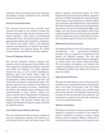expended; and by reviewing transactions and legal proceedings involving charitable trusts, including nonprofit corporations.

# **General Counsel Division**

The General Counsel Division provides legal research and advice to the Attorney General, the Attorney General's staff, and other divisions of the agency regarding a wide variety of constitutional and statutory issues. The division drafts and reviews agency administrative rules, procedures, and policies. The division also drafts, reviews, and negotiates contracts and agreements on behalf of the agency; and coordinates the approval process for outside counsel contracts and invoices for all state agencies.

# **General Litigation Division**

The General Litigation Division defends state agencies, elected and appointed state officials, and state employees in employment litigation, education and health care litigation, civil rights litigation, election law cases, as well as other miscellaneous litigation. Such suits include claims under the Texas Whistleblower Act, tenure denials, claims of discrimination, student dismissals, and First and Fourteenth Amendment constitutional claims. The division represents state employees and officials in libel, slander, and other tort actions. Additionally, the division also defends against challenges to the constitutionality of state statutes, election law claims, and the state's administration of programs, such as public education, Medicaid, and the state hospital system. The division handles state and federal suits through all litigation stages, including the appellate process.

# **Law Enforcement Defense Division**

The Law Enforcement Defense Division defends all state law enforcement agencies and employees in civil lawsuits filed in state and federal courts. The

primary agencies represented include the Texas Department of Criminal Justice (TDCJ), component divisions of TDCJ (including the Parole Division), Parole Board, Texas Department of Public Safety, state university police departments, Texas Alcoholic Beverage Commission, adult and juvenile probation departments, Texas Civil Commitment Office, state judges, and some doctors and medical staff of state medical hospitals. These lawsuits include civil rights actions, employment actions under federal and state law, and claims under the Texas Tort Claims Act.

# **Medicaid Fraud Control Unit**

The Medicaid Fraud Control Unit conducts criminal investigations and prosecutions of Medicaid providers who are suspected of committing fraud against the Medicaid program. The unit also investigates allegations of physical abuse and neglect in nursing homes that receive Medicaid funding. The unit employs investigators and auditors who conduct investigations and assist in the prosecution of Medicaid providers who defraud the system or abuse the elderly.

# **Open Records Division**

The Open Records Division issues written decisions related to access to public information under Chapter 552 of the Texas Government Code, the Public Information Act. The division also provides legal advice and research to the legislative and executive branches of state government and coordinates and participates in regional and statewide conferences on access to public information.

# **Opinion Committee**

The Opinion Committee researches and drafts legal opinions in response to questions of law posed by persons authorized by statute to request formal attorney general opinions. Officials authorized to seek attorney general opinions are: the governor; the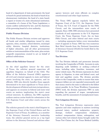head of a department of state government; the head or board of a penal institution; the head or board of an eleemosynary institution; the head of a state board; a regent or trustee of a state educational institution; a committee of a house of the Texas Legislature; a county auditor authorized by law, and the chairman of the governing board of a river authority.

# **Public Finance Division**

The Public Finance Division reviews and approves all bonds and similar obligations issued by state agencies, cities, counties, school districts, municipal utility districts, hospital districts, institutions of higher education, and all other governmental entities or instrumentalities of the state, plus certain nonprofit corporations created to act on behalf of political subdivisions.

# **Office of the Solicitor General**

As the chief appellate lawyer for the state of Texas, the solicitor general supervises all appellate litigation on behalf of the OAG. The Office of the Solicitor General (OSG) approves all civil and criminal appeals in state and federal courts involving the state, its agencies, and its officials. OSG also directly handles those appeals determined to be most significant to Texas and to the development of federal and state jurisprudence, and appears on occasion in federal and state trial courts on matters implicating the state's most critical interests. In addition, the OSG regularly authors amicus curiae briefs for submission to the U.S. Supreme Court and other courts across the nation.

The solicitor general is the state's chief litigator in the Supreme Court of the United States and the Supreme Court of Texas. In addition, as a member of the Attorney General's executive leadership team, the solicitor general serves as a top legal advisor to the Attorney General and advises other

agency lawyers and state officials on complex constitutional and other legal matters.

The Texas OSG appears regularly before the Supreme Court of the U.S., the Supreme Court of Texas, the U.S. Court of Appeals for the Fifth Circuit, and the intermediate state courts of appeals. Since 1999, OSG attorneys have presented hundreds of oral arguments in the U.S. Supreme Court, the Texas Supreme Court, the en banc Fifth Circuit, and other federal and state courts — including arguments before every intermediate court of appeals in Texas. OSG has won numerous Best Brief Awards from the National Association of Attorneys General (NAAG) for briefs filed in the U.S. Supreme Court.

# **Tax Division**

The Tax Division defends and prosecutes lawsuits involving the Comptroller of Public Accounts in suits disputing audit liabilities or seeking a refund of taxes, including sales, franchise, insurance, and motor vehicle taxes. The division represents its client agency in litigation, in state and federal court, and trial and appellate courts. The division provides advice to the Comptroller, works to ensure that state taxpayer dollars are not expended unnecessarily and that money owed to the state is collected to the fullest extent possible. In its Texas Workforce Commission (TWC) work, the division represents TWC in suits regarding the payment of wages, unemployment benefits, and the assessment of unemployment taxes.

# **Tort Litigation Division**

The Tort Litigation Division represents state agencies and state employees in matters involving personal injury, medical malpractice, property damage, workers' compensation retaliation, workers' compensation claims, subrogation, and various other tort-related claims brought under the Texas Tort Claims Act, the Texas Medical Liability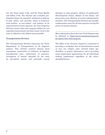Act, the Texas Labor Code, and the Texas Health and Safety Code. The division also evaluates prelitigation claims for potential settlement or defense of such claims and provides advice to numerous state entities on tort-related civil matters. In its representation of state agencies, the Tort Litigation Division ensures that state taxpayer dollars are not expended unnecessarily and that money owed to the state is collected to the fullest extent possible.

#### **Transportation Division**

The Transportation Division represents the Texas Department of Transportation in all litigation matters. This includes eminent domain (land acquisition), prosecution of violations of highway beautification laws, enforcement of contracts, recoupment of monies expended by the state for job-related injuries and externally caused

damages to state property, defense of employment discrimination claims, defense of tort claims, and prosecution and collection of certain administrative penalties. The Transportation Division also handles condemnation cases for all state agencies having the power of eminent domain.

More information about the Law Clerk Program may be obtained at https://www.texasattorneygeneral. gov/agency/law-clerk-program.

The Office of the Attorney General is committed to providing a workplace free of discrimination based on race, sex, religion, color, national origin, age, disability, or genetic information and to providing equal employment opportunities for all individuals seeking employment regardless of the aboveidentified factors.